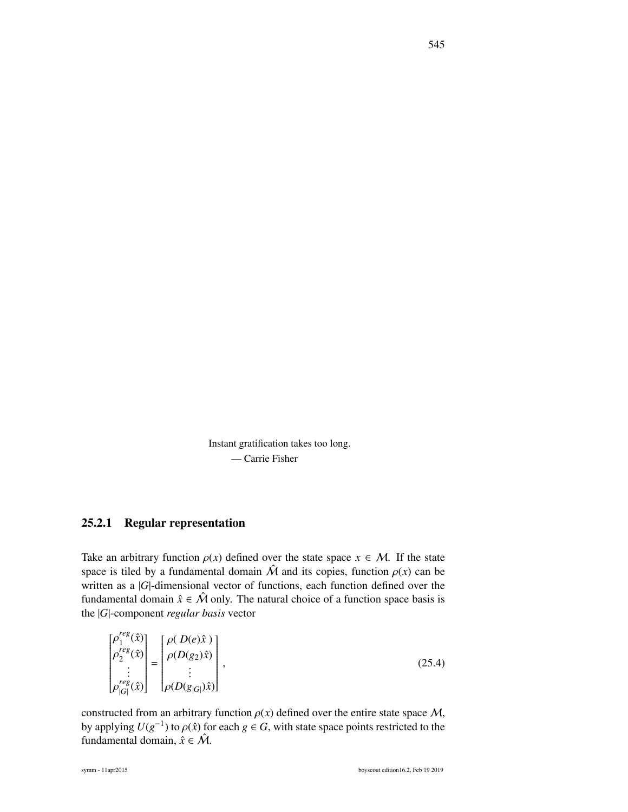Instant gratification takes too long. — Carrie Fisher

## 25.2.1 Regular representation

Take an arbitrary function  $\rho(x)$  defined over the state space  $x \in M$ . If the state space is tiled by a fundamental domain  $\hat{M}$  and its copies, function  $\rho(x)$  can be written as a |*G*|-dimensional vector of functions, each function defined over the fundamental domain  $\hat{x} \in \hat{M}$  only. The natural choice of a function space basis is the |*G*|-component *regular basis* vector

$$
\begin{bmatrix} \rho_1^{reg}(\hat{x}) \\ \rho_2^{reg}(\hat{x}) \\ \vdots \\ \rho_{|G|}^{reg}(\hat{x}) \end{bmatrix} = \begin{bmatrix} \rho(D(e)\hat{x}) \\ \rho(D(g_2)\hat{x}) \\ \vdots \\ \rho(D(g_{|G|})\hat{x}) \end{bmatrix},
$$
\n(25.4)

constructed from an arbitrary function  $\rho(x)$  defined over the entire state space M, by applying  $U(g^{-1})$  to  $\rho(\hat{x})$  for each  $g \in G$ , with state space points restricted to the fundamental domain  $\hat{x} \in \hat{M}$ fundamental domain,  $\hat{x} \in \hat{\mathcal{M}}$ .

*reg*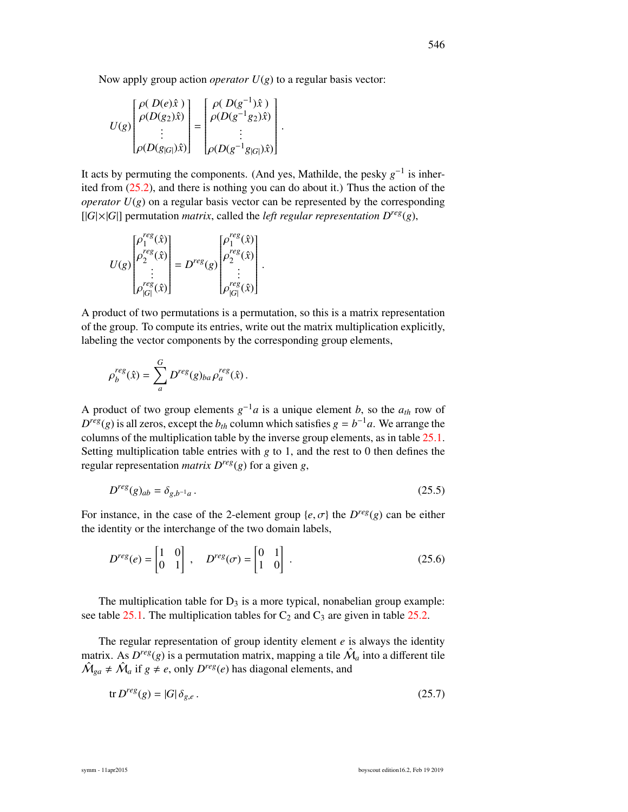Now apply group action *operator*  $U(g)$  to a regular basis vector:

$$
U(g)\begin{bmatrix} \rho(D(e)\hat{x}) \\ \rho(D(g_2)\hat{x}) \\ \vdots \\ \rho(D(g_{|G|})\hat{x}) \end{bmatrix} = \begin{bmatrix} \rho(D(g^{-1})\hat{x}) \\ \rho(D(g^{-1}g_2)\hat{x}) \\ \vdots \\ \rho(D(g^{-1}g_{|G|})\hat{x}) \end{bmatrix}.
$$

It acts by permuting the components. (And yes, Mathilde, the pesky  $g^{-1}$  is inherited from (25.2), and there is nothing you can do about it.) Thus the action of the *operator*  $U(g)$  on a regular basis vector can be represented by the corresponding  $[|G|\times|G|]$  permutation *matrix*, called the *left regular representation*  $D^{reg}(g)$ ,

$$
U(g)\begin{bmatrix} \rho_1^{reg}(\hat{x}) \\ \rho_2^{reg}(\hat{x}) \\ \vdots \\ \rho_{|G|}^{reg}(\hat{x}) \end{bmatrix} = D^{reg}(g)\begin{bmatrix} \rho_1^{reg}(\hat{x}) \\ \rho_2^{reg}(\hat{x}) \\ \vdots \\ \rho_{|G|}^{reg}(\hat{x}) \end{bmatrix}.
$$

A product of two permutations is a permutation, so this is a matrix representation of the group. To compute its entries, write out the matrix multiplication explicitly, labeling the vector components by the corresponding group elements,

$$
\rho_b^{reg}(\hat{x}) = \sum_a^G D^{reg}(g)_{ba} \rho_a^{reg}(\hat{x}).
$$

A product of two group elements  $g^{-1}a$  is a unique element *b*, so the  $a_{th}$  row of  $D^{reg}(g)$  is all zeros, except the  $b_{th}$  column which satisfies  $g = b^{-1}a$ . We arrange the columns of the multiplication table by the inverse group elements, as in table 25.1. Setting multiplication table entries with *g* to 1, and the rest to 0 then defines the regular representation *matrix*  $D^{reg}(g)$  for a given *g*,

$$
D^{reg}(g)_{ab} = \delta_{g,b^{-1}a} \,. \tag{25.5}
$$

For instance, in the case of the 2-element group  $\{e, \sigma\}$  the  $D^{reg}(g)$  can be either the identity or the interchange of the two domain labels the identity or the interchange of the two domain labels,

$$
D^{reg}(e) = \begin{bmatrix} 1 & 0 \\ 0 & 1 \end{bmatrix}, \quad D^{reg}(\sigma) = \begin{bmatrix} 0 & 1 \\ 1 & 0 \end{bmatrix}.
$$
 (25.6)

The multiplication table for  $D_3$  is a more typical, nonabelian group example: see table 25.1. The multiplication tables for  $C_2$  and  $C_3$  are given in table 25.2.

The regular representation of group identity element *e* is always the identity matrix. As  $D^{reg}(g)$  is a permutation matrix, mapping a tile  $\hat{\mathcal{M}}_a$  into a different tile  $\hat{M}_{ga} \neq \hat{M}_a$  if  $g \neq e$ , only  $D^{reg}(e)$  has diagonal elements, and

$$
\operatorname{tr} D^{reg}(g) = |G| \, \delta_{g,e} \,. \tag{25.7}
$$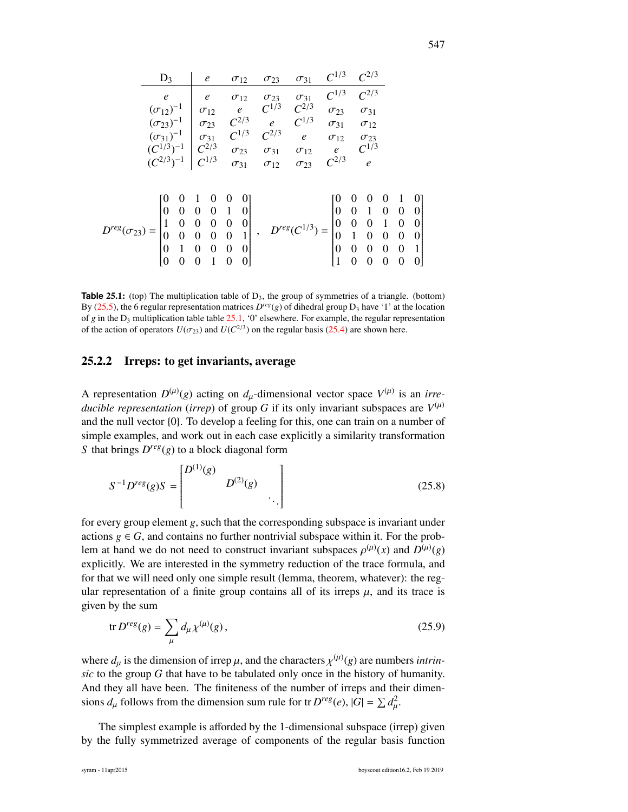|                          | $D_3$                                       |                                       |                                                       | $\boldsymbol{e}$                               |                                      | $\sigma_{12}$    |                          | $\sigma_{23}$ | $\sigma_{31}$        |               | $C^{1/3}$                              |                                           | $C^{2/3}$                                  |                  |                  |                                     |
|--------------------------|---------------------------------------------|---------------------------------------|-------------------------------------------------------|------------------------------------------------|--------------------------------------|------------------|--------------------------|---------------|----------------------|---------------|----------------------------------------|-------------------------------------------|--------------------------------------------|------------------|------------------|-------------------------------------|
|                          | $\mathfrak{e}$                              |                                       |                                                       | $\epsilon$                                     |                                      | $\sigma_{12}$    |                          | $\sigma_{23}$ | $\sigma_{31}$        |               | $C^{1/3}$                              |                                           | $C^{2/3}$                                  |                  |                  |                                     |
|                          | $(\sigma_{12})^{-1}$                        |                                       |                                                       | $\sigma_{12}$                                  |                                      | $\epsilon$       |                          | $C^{1/3}$     | $C^{2/3}$            |               | $\sigma_{23}$                          |                                           | $\sigma_{31}$                              |                  |                  |                                     |
|                          | $(\sigma_{23})^{-1}$                        |                                       |                                                       | $\sigma_{23}$                                  |                                      | $C^{2/3}$        |                          | $\epsilon$    | $C^{1/3}$            |               | $\sigma_{31}$                          |                                           | $\sigma_{12}$                              |                  |                  |                                     |
|                          | $(\sigma_{31})^{-1}$                        |                                       |                                                       | $\sigma_{31}$                                  |                                      | $C^{1/3}$        |                          | $C^{2/3}$     | $\epsilon$           | $\sigma_{12}$ |                                        |                                           | $\sigma_{23}$                              |                  |                  |                                     |
|                          | $(C^{1/3})^{-1}$                            |                                       |                                                       | $C^{2/3}$                                      |                                      | $\sigma_{23}$    |                          | $\sigma_{31}$ | $\sigma_{12}$        |               | $\epsilon$                             |                                           | $C^{1/3}$                                  |                  |                  |                                     |
|                          | $(C^{2/3})^{-1}$                            |                                       |                                                       | $C^{1/3}$                                      |                                      | $\sigma_{31}$    |                          | $\sigma_{12}$ | $\sigma_{23}$        |               | $C^{2/3}$                              |                                           | $\mathfrak{e}$                             |                  |                  |                                     |
|                          |                                             |                                       |                                                       |                                                |                                      |                  |                          |               |                      |               |                                        |                                           |                                            |                  |                  |                                     |
|                          |                                             | 0                                     |                                                       | $\boldsymbol{0}$                               | $\boldsymbol{0}$                     |                  |                          |               |                      |               |                                        | 0                                         | $\theta$                                   | $\boldsymbol{0}$ | -1               | $\begin{matrix}0\\0\end{matrix}$    |
|                          | $\begin{bmatrix} 0 \\ 1 \\ 0 \end{bmatrix}$ | $\begin{matrix} 0\\0\\0 \end{matrix}$ | $\begin{bmatrix} 0 \\ 0 \\ 0 \\ 0 \\ 0 \end{bmatrix}$ | $\begin{matrix} 0 \\ 0 \\ 0 \\ 0 \end{matrix}$ | $\begin{matrix} 1 \\ 0 \end{matrix}$ | $\boldsymbol{0}$ |                          |               |                      |               | $\begin{bmatrix} 0 \\ 0 \end{bmatrix}$ | $\begin{matrix} 0 \\ 0 \\ 1 \end{matrix}$ | $\begin{array}{c} 1 \\ 0 \\ 0 \end{array}$ | $\overline{0}$   | $\boldsymbol{0}$ |                                     |
|                          |                                             |                                       |                                                       |                                                |                                      | $\vert 0 \vert$  |                          |               | $D^{reg}(C^{1/3}) =$ |               |                                        |                                           |                                            | $\overline{1}$   | $\boldsymbol{0}$ | $\begin{matrix}0\\0\\1\end{matrix}$ |
| $D^{reg}(\sigma_{23}) =$ |                                             |                                       |                                                       |                                                | $\bf{0}$                             | $\mathbf{1}$     | $\overline{\phantom{a}}$ |               |                      |               | $\boldsymbol{0}$                       |                                           |                                            | $\overline{0}$   | $\boldsymbol{0}$ |                                     |
|                          |                                             | $\mathbf{1}$                          |                                                       | $\overline{0}$                                 | $\overline{0}$                       | $\boldsymbol{0}$ |                          |               |                      |               | $\overline{0}$                         | $\overline{0}$                            | $\overline{0}$                             | $\boldsymbol{0}$ | $\boldsymbol{0}$ |                                     |
|                          | $\overline{0}$                              | $\Omega$                              | $\overline{0}$                                        | $\mathbf{1}$                                   | $\boldsymbol{0}$                     | $\Omega$         |                          |               |                      |               |                                        | $\theta$                                  | $\Omega$                                   | $\overline{0}$   | $\overline{0}$   | $\overline{0}$                      |

**Table 25.1:** (top) The multiplication table of D<sub>3</sub>, the group of symmetries of a triangle. (bottom) By (25.5), the 6 regular representation matrices  $D^{reg}(g)$  of dihedral group  $D_3$  have '1' at the location of *g* in the  $D_3$  multiplication table table 25.1, '0' elsewhere. For example, the regular representation of the action of operators  $U(\sigma_{23})$  and  $U(C^{2/3})$  on the regular basis (25.4) are shown here.

## 25.2.2 Irreps: to get invariants, average

A representation  $D^{(\mu)}(g)$  acting on  $d_{\mu}$ -dimensional vector space  $V^{(\mu)}$  is an *irre-*<br>ducible nonnecentation (inner) of group G if its only invorient subgrosses are  $V^{(\mu)}$ *ducible representation (irrep)* of group *G* if its only invariant subspaces are  $V^{(\mu)}$ and the null vector {0}. To develop a feeling for this, one can train on a number of simple examples, and work out in each case explicitly a similarity transformation *S* that brings *D reg*(*g*) to a block diagonal form

$$
S^{-1}D^{reg}(g)S = \begin{bmatrix} D^{(1)}(g) & & \\ & D^{(2)}(g) & \\ & & \ddots \end{bmatrix}
$$
 (25.8)

for every group element *g*, such that the corresponding subspace is invariant under actions  $g \in G$ , and contains no further nontrivial subspace within it. For the problem at hand we do not need to construct invariant subspaces  $\rho^{(\mu)}(x)$  and  $D^{(\mu)}(g)$ <br>explicitly. We are interested in the symmetry reduction of the trace formula and explicitly. We are interested in the symmetry reduction of the trace formula, and for that we will need only one simple result (lemma, theorem, whatever): the regular representation of a finite group contains all of its irreps  $\mu$ , and its trace is given by the sum

$$
\text{tr } D^{reg}(g) = \sum_{\mu} d_{\mu} \chi^{(\mu)}(g), \qquad (25.9)
$$

where  $d_{\mu}$  is the dimension of irrep  $\mu$ , and the characters  $\chi^{(\mu)}(g)$  are numbers *intrin*-<br>sig to the group G that have to be tabulated only once in the history of humanity *sic* to the group *G* that have to be tabulated only once in the history of humanity. And they all have been. The finiteness of the number of irreps and their dimensions  $d_{\mu}$  follows from the dimension sum rule for tr  $D^{reg}(e)$ ,  $|G| = \sum d_{\mu}^2$ . µ

The simplest example is afforded by the 1-dimensional subspace (irrep) given by the fully symmetrized average of components of the regular basis function

1

 $\overline{\phantom{a}}$